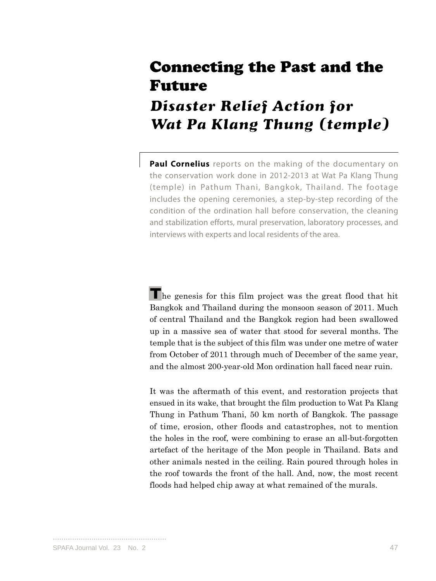## Connecting the Past and the Future

## **Disaster Relief Action for Wat Pa Klang Thung (temple)**

**Paul Cornelius** reports on the making of the documentary on the conservation work done in 2012-2013 at Wat Pa Klang Thung (temple) in Pathum Thani, Bangkok, Thailand. The footage includes the opening ceremonies, a step-by-step recording of the condition of the ordination hall before conservation, the cleaning and stabilization efforts, mural preservation, laboratory processes, and interviews with experts and local residents of the area.

**T**he genesis for this film project was the great flood that hit Bangkok and Thailand during the monsoon season of 2011. Much of central Thailand and the Bangkok region had been swallowed up in a massive sea of water that stood for several months. The temple that is the subject of this film was under one metre of water from October of 2011 through much of December of the same year, and the almost 200-year-old Mon ordination hall faced near ruin.

It was the aftermath of this event, and restoration projects that ensued in its wake, that brought the film production to Wat Pa Klang Thung in Pathum Thani, 50 km north of Bangkok. The passage of time, erosion, other floods and catastrophes, not to mention the holes in the roof, were combining to erase an all-but-forgotten artefact of the heritage of the Mon people in Thailand. Bats and other animals nested in the ceiling. Rain poured through holes in the roof towards the front of the hall. And, now, the most recent floods had helped chip away at what remained of the murals.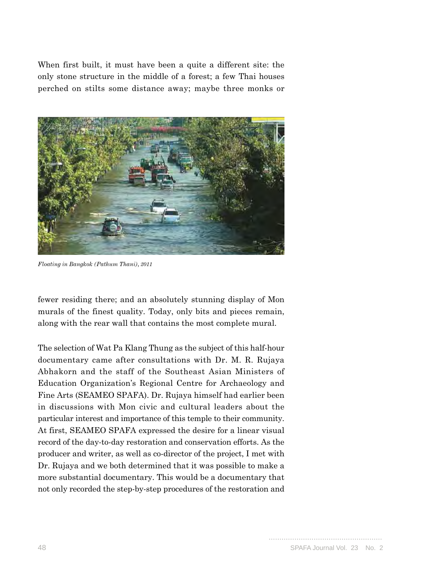When first built, it must have been a quite a different site: the only stone structure in the middle of a forest; a few Thai houses perched on stilts some distance away; maybe three monks or



*Floating in Bangkok (Pathum Thani), 2011*

fewer residing there; and an absolutely stunning display of Mon murals of the finest quality. Today, only bits and pieces remain, along with the rear wall that contains the most complete mural.

The selection of Wat Pa Klang Thung as the subject of this half-hour documentary came after consultations with Dr. M. R. Rujaya Abhakorn and the staff of the Southeast Asian Ministers of Education Organization's Regional Centre for Archaeology and Fine Arts (SEAMEO SPAFA). Dr. Rujaya himself had earlier been in discussions with Mon civic and cultural leaders about the particular interest and importance of this temple to their community. At first, SEAMEO SPAFA expressed the desire for a linear visual record of the day-to-day restoration and conservation efforts. As the producer and writer, as well as co-director of the project, I met with Dr. Rujaya and we both determined that it was possible to make a more substantial documentary. This would be a documentary that not only recorded the step-by-step procedures of the restoration and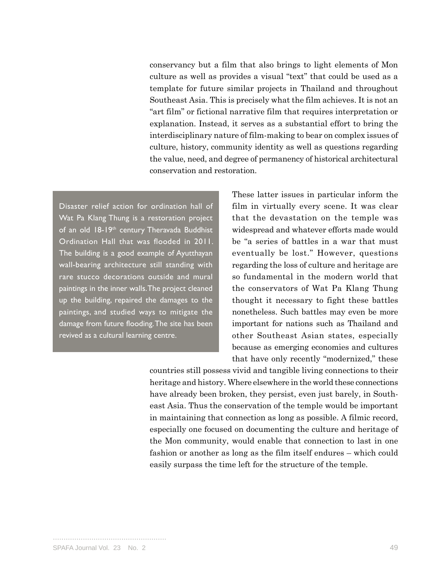conservancy but a film that also brings to light elements of Mon culture as well as provides a visual "text" that could be used as a template for future similar projects in Thailand and throughout Southeast Asia. This is precisely what the film achieves. It is not an "art film" or fictional narrative film that requires interpretation or explanation. Instead, it serves as a substantial effort to bring the interdisciplinary nature of film-making to bear on complex issues of culture, history, community identity as well as questions regarding the value, need, and degree of permanency of historical architectural conservation and restoration.

Disaster relief action for ordination hall of Wat Pa Klang Thung is a restoration project of an old 18-19<sup>th</sup> century Theravada Buddhist Ordination Hall that was flooded in 2011. The building is a good example of Ayutthayan wall-bearing architecture still standing with rare stucco decorations outside and mural paintings in the inner walls. The project cleaned up the building, repaired the damages to the paintings, and studied ways to mitigate the damage from future flooding. The site has been revived as a cultural learning centre.

These latter issues in particular inform the film in virtually every scene. It was clear that the devastation on the temple was widespread and whatever efforts made would be "a series of battles in a war that must eventually be lost." However, questions regarding the loss of culture and heritage are so fundamental in the modern world that the conservators of Wat Pa Klang Thung thought it necessary to fight these battles nonetheless. Such battles may even be more important for nations such as Thailand and other Southeast Asian states, especially because as emerging economies and cultures that have only recently "modernized," these

countries still possess vivid and tangible living connections to their heritage and history. Where elsewhere in the world these connections have already been broken, they persist, even just barely, in Southeast Asia. Thus the conservation of the temple would be important in maintaining that connection as long as possible. A filmic record, especially one focused on documenting the culture and heritage of the Mon community, would enable that connection to last in one fashion or another as long as the film itself endures – which could easily surpass the time left for the structure of the temple.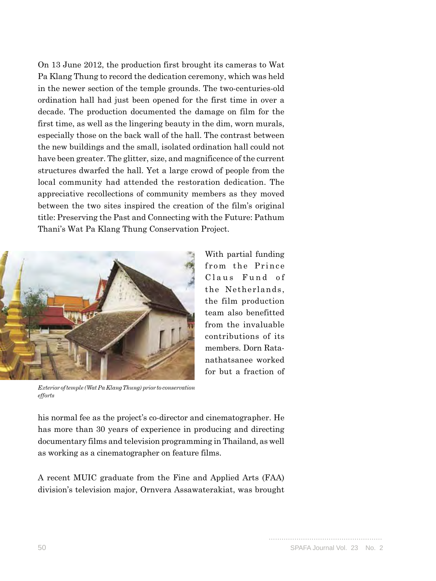On 13 June 2012, the production first brought its cameras to Wat Pa Klang Thung to record the dedication ceremony, which was held in the newer section of the temple grounds. The two-centuries-old ordination hall had just been opened for the first time in over a decade. The production documented the damage on film for the first time, as well as the lingering beauty in the dim, worn murals, especially those on the back wall of the hall. The contrast between the new buildings and the small, isolated ordination hall could not have been greater. The glitter, size, and magnificence of the current structures dwarfed the hall. Yet a large crowd of people from the local community had attended the restoration dedication. The appreciative recollections of community members as they moved between the two sites inspired the creation of the film's original title: Preserving the Past and Connecting with the Future: Pathum Thani's Wat Pa Klang Thung Conservation Project.



With partial funding from the Prince Claus Fund of the Netherlands, the film production team also benefitted from the invaluable contributions of its members. Dorn Ratanathatsanee worked for but a fraction of

*Exterior of temple (Wat Pa Klang Thung) prior to conservation efforts*

his normal fee as the project's co-director and cinematographer. He has more than 30 years of experience in producing and directing documentary films and television programming in Thailand, as well as working as a cinematographer on feature films.

A recent MUIC graduate from the Fine and Applied Arts (FAA) division's television major, Ornvera Assawaterakiat, was brought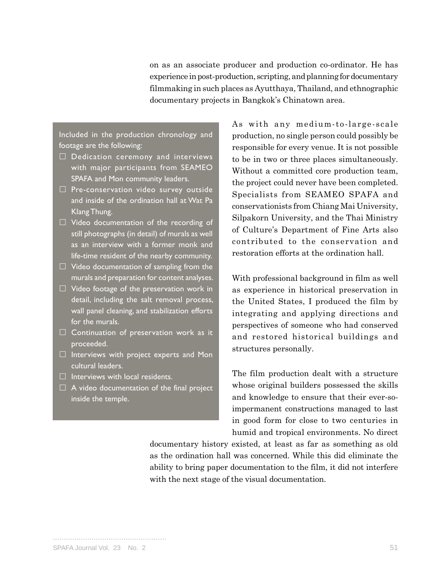on as an associate producer and production co-ordinator. He has experience in post-production, scripting, and planning for documentary filmmaking in such places as Ayutthaya, Thailand, and ethnographic documentary projects in Bangkok's Chinatown area.

Included in the production chronology and footage are the following:

- $\square$  Dedication ceremony and interviews with major participants from SEAMEO SPAFA and Mon community leaders.
- $\Box$  Pre-conservation video survey outside and inside of the ordination hall at Wat Pa Klang Thung.
- $\Box$  Video documentation of the recording of still photographs (in detail) of murals as well as an interview with a former monk and life-time resident of the nearby community.
- $\Box$  Video documentation of sampling from the murals and preparation for content analyses.
- $\Box$  Video footage of the preservation work in detail, including the salt removal process, wall panel cleaning, and stabilization efforts for the murals.
- $\Box$  Continuation of preservation work as it proceeded.
- $\Box$  Interviews with project experts and Mon cultural leaders.
- $\Box$  Interviews with local residents.
- $\Box$  A video documentation of the final project inside the temple.

As with any medium-to-large-scale production, no single person could possibly be responsible for every venue. It is not possible to be in two or three places simultaneously. Without a committed core production team, the project could never have been completed. Specialists from SEAMEO SPAFA and conservationists from Chiang Mai University, Silpakorn University, and the Thai Ministry of Culture's Department of Fine Arts also contributed to the conservation and restoration efforts at the ordination hall.

With professional background in film as well as experience in historical preservation in the United States, I produced the film by integrating and applying directions and perspectives of someone who had conserved and restored historical buildings and structures personally.

The film production dealt with a structure whose original builders possessed the skills and knowledge to ensure that their ever-soimpermanent constructions managed to last in good form for close to two centuries in humid and tropical environments. No direct

documentary history existed, at least as far as something as old as the ordination hall was concerned. While this did eliminate the ability to bring paper documentation to the film, it did not interfere with the next stage of the visual documentation.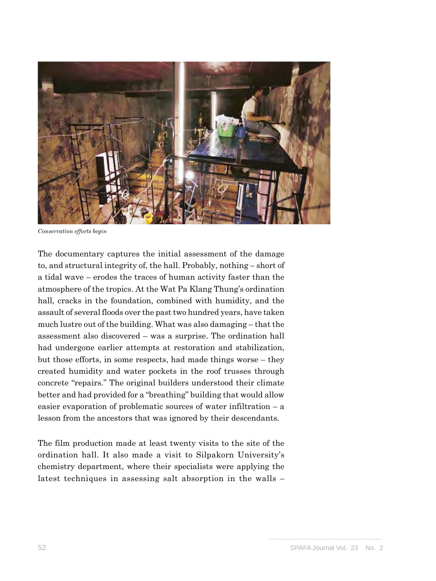

*Conservation efforts begin*

The documentary captures the initial assessment of the damage to, and structural integrity of, the hall. Probably, nothing – short of a tidal wave – erodes the traces of human activity faster than the atmosphere of the tropics. At the Wat Pa Klang Thung's ordination hall, cracks in the foundation, combined with humidity, and the assault of several floods over the past two hundred years, have taken much lustre out of the building. What was also damaging – that the assessment also discovered – was a surprise. The ordination hall had undergone earlier attempts at restoration and stabilization, but those efforts, in some respects, had made things worse – they created humidity and water pockets in the roof trusses through concrete "repairs." The original builders understood their climate better and had provided for a "breathing" building that would allow easier evaporation of problematic sources of water infiltration – a lesson from the ancestors that was ignored by their descendants.

The film production made at least twenty visits to the site of the ordination hall. It also made a visit to Silpakorn University's chemistry department, where their specialists were applying the latest techniques in assessing salt absorption in the walls –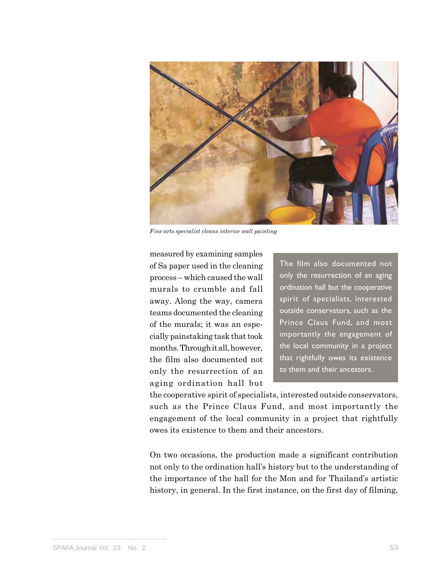

*Fine arts specialist cleans interior wall painting*

measured by examining samples of Sa paper used in the cleaning process – which caused the wall murals to crumble and fall away. Along the way, camera teams documented the cleaning of the murals; it was an especially painstaking task that took months. Through it all, however, the film also documented not only the resurrection of an aging ordination hall but

The film also documented not only the resurrection of an aging ordination hall but the cooperative spirit of specialists, interested outside conservators, such as the Prince Claus Fund, and most importantly the engagement of the local community in a project that rightfully owes its existence to them and their ancestors.

the cooperative spirit of specialists, interested outside conservators, such as the Prince Claus Fund, and most importantly the engagement of the local community in a project that rightfully owes its existence to them and their ancestors.

On two occasions, the production made a significant contribution not only to the ordination hall's history but to the understanding of the importance of the hall for the Mon and for Thailand's artistic history, in general. In the first instance, on the first day of filming,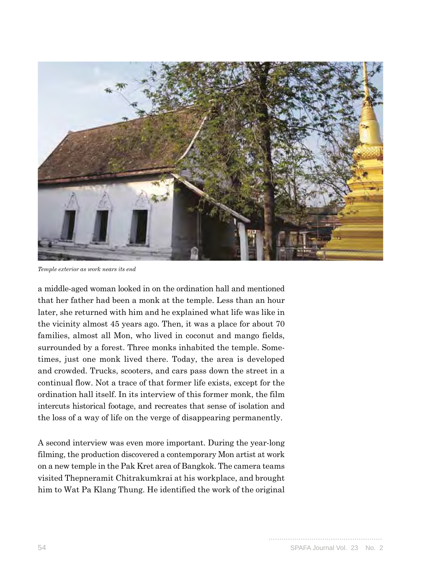

*Temple exterior as work nears its end*

a middle-aged woman looked in on the ordination hall and mentioned that her father had been a monk at the temple. Less than an hour later, she returned with him and he explained what life was like in the vicinity almost 45 years ago. Then, it was a place for about 70 families, almost all Mon, who lived in coconut and mango fields, surrounded by a forest. Three monks inhabited the temple. Sometimes, just one monk lived there. Today, the area is developed and crowded. Trucks, scooters, and cars pass down the street in a continual flow. Not a trace of that former life exists, except for the ordination hall itself. In its interview of this former monk, the film intercuts historical footage, and recreates that sense of isolation and the loss of a way of life on the verge of disappearing permanently.

A second interview was even more important. During the year-long filming, the production discovered a contemporary Mon artist at work on a new temple in the Pak Kret area of Bangkok. The camera teams visited Thepneramit Chitrakumkrai at his workplace, and brought him to Wat Pa Klang Thung. He identified the work of the original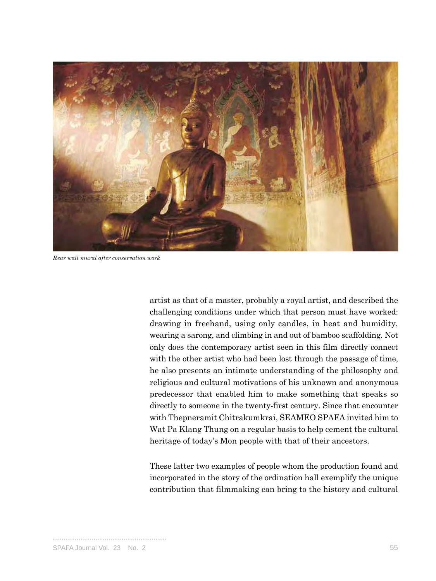

*Rear wall mural after conservation work*

artist as that of a master, probably a royal artist, and described the challenging conditions under which that person must have worked: drawing in freehand, using only candles, in heat and humidity, wearing a sarong, and climbing in and out of bamboo scaffolding. Not only does the contemporary artist seen in this film directly connect with the other artist who had been lost through the passage of time, he also presents an intimate understanding of the philosophy and religious and cultural motivations of his unknown and anonymous predecessor that enabled him to make something that speaks so directly to someone in the twenty-first century. Since that encounter with Thepneramit Chitrakumkrai, SEAMEO SPAFA invited him to Wat Pa Klang Thung on a regular basis to help cement the cultural heritage of today's Mon people with that of their ancestors.

These latter two examples of people whom the production found and incorporated in the story of the ordination hall exemplify the unique contribution that filmmaking can bring to the history and cultural